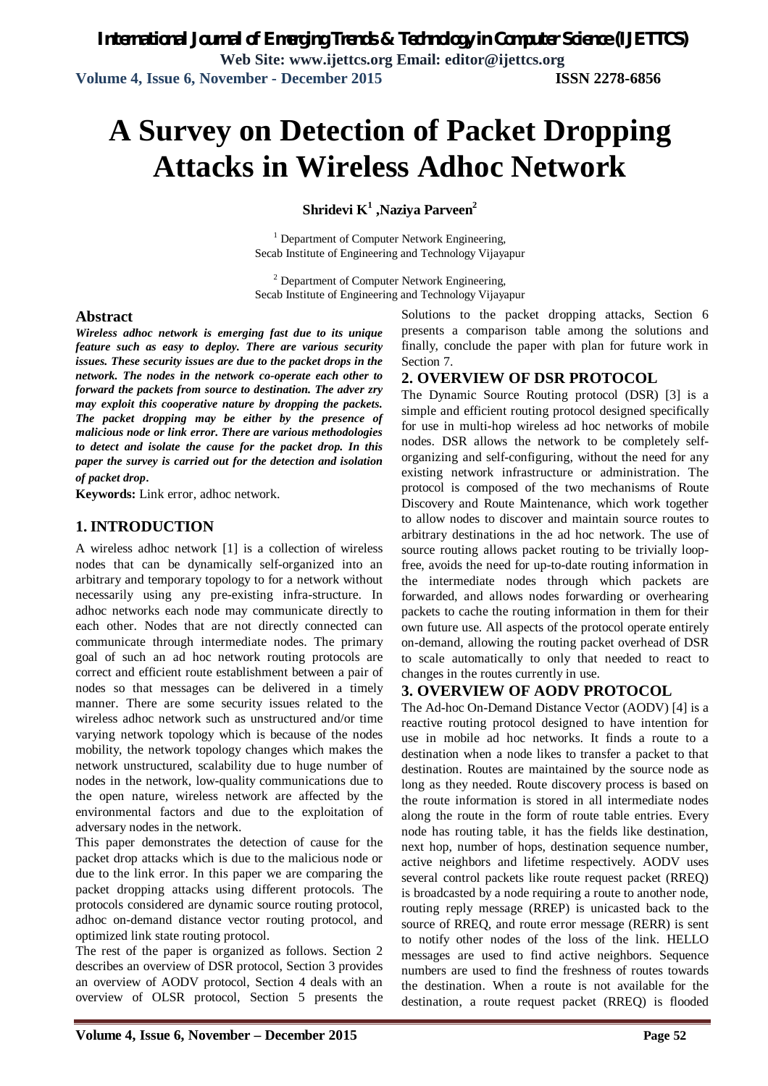# **A Survey on Detection of Packet Dropping Attacks in Wireless Adhoc Network**

**Shridevi K<sup>1</sup> ,Naziya Parveen 2**

 $1$  Department of Computer Network Engineering. Secab Institute of Engineering and Technology Vijayapur

 $2$  Department of Computer Network Engineering, Secab Institute of Engineering and Technology Vijayapur

#### **Abstract**

*Wireless adhoc network is emerging fast due to its unique feature such as easy to deploy. There are various security issues. These security issues are due to the packet drops in the network. The nodes in the network co-operate each other to forward the packets from source to destination. The adver zry may exploit this cooperative nature by dropping the packets. The packet dropping may be either by the presence of malicious node or link error. There are various methodologies to detect and isolate the cause for the packet drop. In this paper the survey is carried out for the detection and isolation of packet drop*.

**Keywords:** Link error, adhoc network.

#### **1. INTRODUCTION**

A wireless adhoc network [1] is a collection of wireless nodes that can be dynamically self-organized into an arbitrary and temporary topology to for a network without necessarily using any pre-existing infra-structure. In adhoc networks each node may communicate directly to each other. Nodes that are not directly connected can communicate through intermediate nodes. The primary goal of such an ad hoc network routing protocols are correct and efficient route establishment between a pair of nodes so that messages can be delivered in a timely manner. There are some security issues related to the wireless adhoc network such as unstructured and/or time varying network topology which is because of the nodes mobility, the network topology changes which makes the network unstructured, scalability due to huge number of nodes in the network, low-quality communications due to the open nature, wireless network are affected by the environmental factors and due to the exploitation of adversary nodes in the network.

This paper demonstrates the detection of cause for the packet drop attacks which is due to the malicious node or due to the link error. In this paper we are comparing the packet dropping attacks using different protocols. The protocols considered are dynamic source routing protocol, adhoc on-demand distance vector routing protocol, and optimized link state routing protocol.

The rest of the paper is organized as follows. Section 2 describes an overview of DSR protocol, Section 3 provides an overview of AODV protocol, Section 4 deals with an overview of OLSR protocol, Section 5 presents the

Solutions to the packet dropping attacks, Section 6 presents a comparison table among the solutions and finally, conclude the paper with plan for future work in Section 7.

#### **2. OVERVIEW OF DSR PROTOCOL**

The Dynamic Source Routing protocol (DSR) [3] is a simple and efficient routing protocol designed specifically for use in multi-hop wireless ad hoc networks of mobile nodes. DSR allows the network to be completely selforganizing and self-configuring, without the need for any existing network infrastructure or administration. The protocol is composed of the two mechanisms of Route Discovery and Route Maintenance, which work together to allow nodes to discover and maintain source routes to arbitrary destinations in the ad hoc network. The use of source routing allows packet routing to be trivially loopfree, avoids the need for up-to-date routing information in the intermediate nodes through which packets are forwarded, and allows nodes forwarding or overhearing packets to cache the routing information in them for their own future use. All aspects of the protocol operate entirely on-demand, allowing the routing packet overhead of DSR to scale automatically to only that needed to react to changes in the routes currently in use.

#### **3. OVERVIEW OF AODV PROTOCOL**

The Ad-hoc On-Demand Distance Vector (AODV) [4] is a reactive routing protocol designed to have intention for use in mobile ad hoc networks. It finds a route to a destination when a node likes to transfer a packet to that destination. Routes are maintained by the source node as long as they needed. Route discovery process is based on the route information is stored in all intermediate nodes along the route in the form of route table entries. Every node has routing table, it has the fields like destination, next hop, number of hops, destination sequence number, active neighbors and lifetime respectively. AODV uses several control packets like route request packet (RREQ) is broadcasted by a node requiring a route to another node, routing reply message (RREP) is unicasted back to the source of RREQ, and route error message (RERR) is sent to notify other nodes of the loss of the link. HELLO messages are used to find active neighbors. Sequence numbers are used to find the freshness of routes towards the destination. When a route is not available for the destination, a route request packet (RREQ) is flooded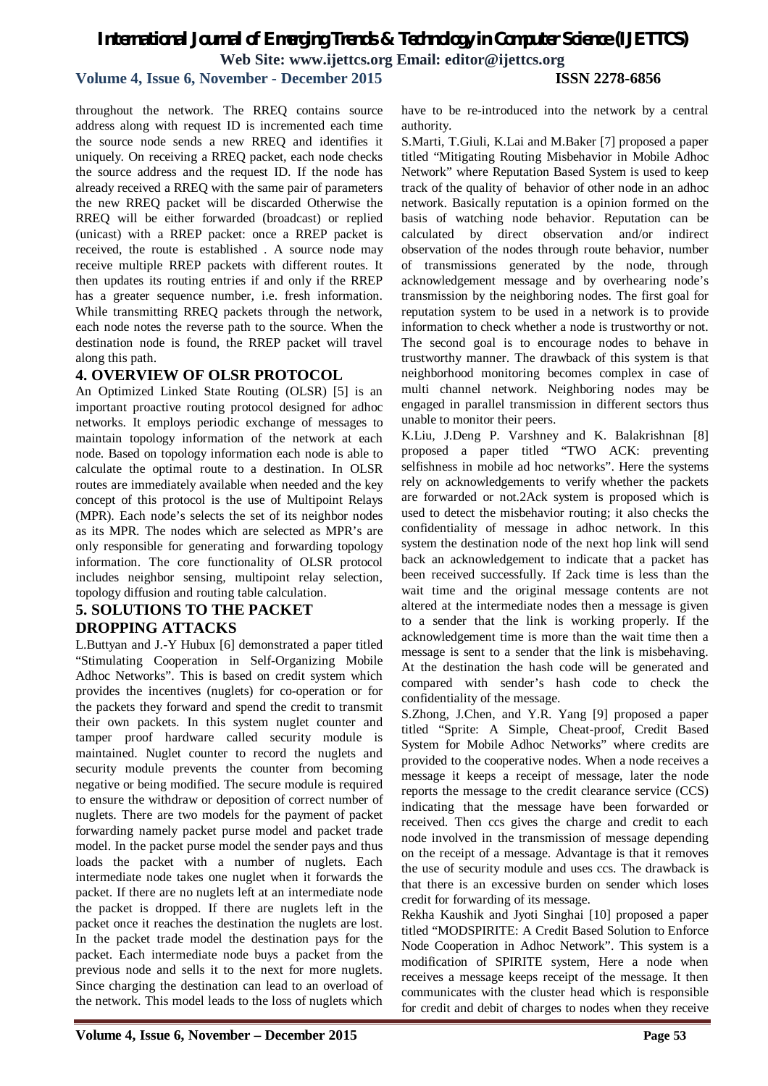#### **Volume 4, Issue 6, November - December 2015 ISSN 2278-6856**

throughout the network. The RREQ contains source address along with request ID is incremented each time the source node sends a new RREQ and identifies it uniquely. On receiving a RREQ packet, each node checks the source address and the request ID. If the node has already received a RREQ with the same pair of parameters the new RREQ packet will be discarded Otherwise the RREQ will be either forwarded (broadcast) or replied (unicast) with a RREP packet: once a RREP packet is received, the route is established . A source node may receive multiple RREP packets with different routes. It then updates its routing entries if and only if the RREP has a greater sequence number, i.e. fresh information. While transmitting RREQ packets through the network, each node notes the reverse path to the source. When the destination node is found, the RREP packet will travel along this path.

#### **4. OVERVIEW OF OLSR PROTOCOL**

An Optimized Linked State Routing (OLSR) [5] is an important proactive routing protocol designed for adhoc networks. It employs periodic exchange of messages to maintain topology information of the network at each node. Based on topology information each node is able to calculate the optimal route to a destination. In OLSR routes are immediately available when needed and the key concept of this protocol is the use of Multipoint Relays (MPR). Each node's selects the set of its neighbor nodes as its MPR. The nodes which are selected as MPR's are only responsible for generating and forwarding topology information. The core functionality of OLSR protocol includes neighbor sensing, multipoint relay selection, topology diffusion and routing table calculation.

### **5. SOLUTIONS TO THE PACKET DROPPING ATTACKS**

L.Buttyan and J.-Y Hubux [6] demonstrated a paper titled "Stimulating Cooperation in Self-Organizing Mobile Adhoc Networks". This is based on credit system which provides the incentives (nuglets) for co-operation or for the packets they forward and spend the credit to transmit their own packets. In this system nuglet counter and tamper proof hardware called security module is maintained. Nuglet counter to record the nuglets and security module prevents the counter from becoming negative or being modified. The secure module is required to ensure the withdraw or deposition of correct number of nuglets. There are two models for the payment of packet forwarding namely packet purse model and packet trade model. In the packet purse model the sender pays and thus loads the packet with a number of nuglets. Each intermediate node takes one nuglet when it forwards the packet. If there are no nuglets left at an intermediate node the packet is dropped. If there are nuglets left in the packet once it reaches the destination the nuglets are lost. In the packet trade model the destination pays for the packet. Each intermediate node buys a packet from the previous node and sells it to the next for more nuglets. Since charging the destination can lead to an overload of the network. This model leads to the loss of nuglets which

have to be re-introduced into the network by a central authority.

S.Marti, T.Giuli, K.Lai and M.Baker [7] proposed a paper titled "Mitigating Routing Misbehavior in Mobile Adhoc Network" where Reputation Based System is used to keep track of the quality of behavior of other node in an adhoc network. Basically reputation is a opinion formed on the basis of watching node behavior. Reputation can be calculated by direct observation and/or indirect observation of the nodes through route behavior, number of transmissions generated by the node, through acknowledgement message and by overhearing node's transmission by the neighboring nodes. The first goal for reputation system to be used in a network is to provide information to check whether a node is trustworthy or not. The second goal is to encourage nodes to behave in trustworthy manner. The drawback of this system is that neighborhood monitoring becomes complex in case of multi channel network. Neighboring nodes may be engaged in parallel transmission in different sectors thus unable to monitor their peers.

K.Liu, J.Deng P. Varshney and K. Balakrishnan [8] proposed a paper titled "TWO ACK: preventing selfishness in mobile ad hoc networks". Here the systems rely on acknowledgements to verify whether the packets are forwarded or not.2Ack system is proposed which is used to detect the misbehavior routing; it also checks the confidentiality of message in adhoc network. In this system the destination node of the next hop link will send back an acknowledgement to indicate that a packet has been received successfully. If 2ack time is less than the wait time and the original message contents are not altered at the intermediate nodes then a message is given to a sender that the link is working properly. If the acknowledgement time is more than the wait time then a message is sent to a sender that the link is misbehaving. At the destination the hash code will be generated and compared with sender's hash code to check the confidentiality of the message.

S.Zhong, J.Chen, and Y.R. Yang [9] proposed a paper titled "Sprite: A Simple, Cheat-proof, Credit Based System for Mobile Adhoc Networks" where credits are provided to the cooperative nodes. When a node receives a message it keeps a receipt of message, later the node reports the message to the credit clearance service (CCS) indicating that the message have been forwarded or received. Then ccs gives the charge and credit to each node involved in the transmission of message depending on the receipt of a message. Advantage is that it removes the use of security module and uses ccs. The drawback is that there is an excessive burden on sender which loses credit for forwarding of its message.

Rekha Kaushik and Jyoti Singhai [10] proposed a paper titled "MODSPIRITE: A Credit Based Solution to Enforce Node Cooperation in Adhoc Network". This system is a modification of SPIRITE system, Here a node when receives a message keeps receipt of the message. It then communicates with the cluster head which is responsible for credit and debit of charges to nodes when they receive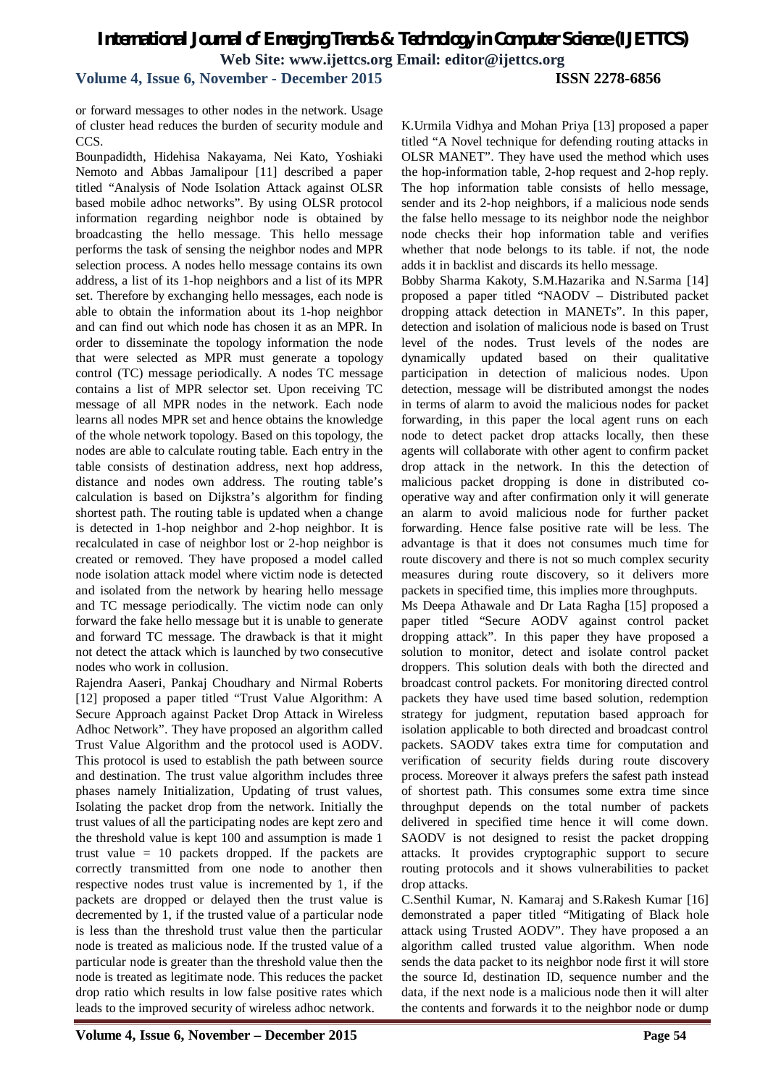#### **Volume 4, Issue 6, November - December 2015 ISSN 2278-6856**

or forward messages to other nodes in the network. Usage of cluster head reduces the burden of security module and CCS.

Bounpadidth, Hidehisa Nakayama, Nei Kato, Yoshiaki Nemoto and Abbas Jamalipour [11] described a paper titled "Analysis of Node Isolation Attack against OLSR based mobile adhoc networks". By using OLSR protocol information regarding neighbor node is obtained by broadcasting the hello message. This hello message performs the task of sensing the neighbor nodes and MPR selection process. A nodes hello message contains its own address, a list of its 1-hop neighbors and a list of its MPR set. Therefore by exchanging hello messages, each node is able to obtain the information about its 1-hop neighbor and can find out which node has chosen it as an MPR. In order to disseminate the topology information the node that were selected as MPR must generate a topology control (TC) message periodically. A nodes TC message contains a list of MPR selector set. Upon receiving TC message of all MPR nodes in the network. Each node learns all nodes MPR set and hence obtains the knowledge of the whole network topology. Based on this topology, the nodes are able to calculate routing table. Each entry in the table consists of destination address, next hop address, distance and nodes own address. The routing table's calculation is based on Dijkstra's algorithm for finding shortest path. The routing table is updated when a change is detected in 1-hop neighbor and 2-hop neighbor. It is recalculated in case of neighbor lost or 2-hop neighbor is created or removed. They have proposed a model called node isolation attack model where victim node is detected and isolated from the network by hearing hello message and TC message periodically. The victim node can only forward the fake hello message but it is unable to generate and forward TC message. The drawback is that it might not detect the attack which is launched by two consecutive nodes who work in collusion.

Rajendra Aaseri, Pankaj Choudhary and Nirmal Roberts [12] proposed a paper titled "Trust Value Algorithm: A Secure Approach against Packet Drop Attack in Wireless Adhoc Network". They have proposed an algorithm called Trust Value Algorithm and the protocol used is AODV. This protocol is used to establish the path between source and destination. The trust value algorithm includes three phases namely Initialization, Updating of trust values, Isolating the packet drop from the network. Initially the trust values of all the participating nodes are kept zero and the threshold value is kept 100 and assumption is made 1 trust value = 10 packets dropped. If the packets are correctly transmitted from one node to another then respective nodes trust value is incremented by 1, if the packets are dropped or delayed then the trust value is decremented by 1, if the trusted value of a particular node is less than the threshold trust value then the particular node is treated as malicious node. If the trusted value of a particular node is greater than the threshold value then the node is treated as legitimate node. This reduces the packet drop ratio which results in low false positive rates which leads to the improved security of wireless adhoc network.

K.Urmila Vidhya and Mohan Priya [13] proposed a paper titled "A Novel technique for defending routing attacks in OLSR MANET". They have used the method which uses the hop-information table, 2-hop request and 2-hop reply. The hop information table consists of hello message, sender and its 2-hop neighbors, if a malicious node sends the false hello message to its neighbor node the neighbor node checks their hop information table and verifies whether that node belongs to its table. if not, the node adds it in backlist and discards its hello message.

Bobby Sharma Kakoty, S.M.Hazarika and N.Sarma [14] proposed a paper titled "NAODV – Distributed packet dropping attack detection in MANETs". In this paper, detection and isolation of malicious node is based on Trust level of the nodes. Trust levels of the nodes are dynamically updated based on their qualitative participation in detection of malicious nodes. Upon detection, message will be distributed amongst the nodes in terms of alarm to avoid the malicious nodes for packet forwarding, in this paper the local agent runs on each node to detect packet drop attacks locally, then these agents will collaborate with other agent to confirm packet drop attack in the network. In this the detection of malicious packet dropping is done in distributed cooperative way and after confirmation only it will generate an alarm to avoid malicious node for further packet forwarding. Hence false positive rate will be less. The advantage is that it does not consumes much time for route discovery and there is not so much complex security measures during route discovery, so it delivers more packets in specified time, this implies more throughputs.

Ms Deepa Athawale and Dr Lata Ragha [15] proposed a paper titled "Secure AODV against control packet dropping attack". In this paper they have proposed a solution to monitor, detect and isolate control packet droppers. This solution deals with both the directed and broadcast control packets. For monitoring directed control packets they have used time based solution, redemption strategy for judgment, reputation based approach for isolation applicable to both directed and broadcast control packets. SAODV takes extra time for computation and verification of security fields during route discovery process. Moreover it always prefers the safest path instead of shortest path. This consumes some extra time since throughput depends on the total number of packets delivered in specified time hence it will come down. SAODV is not designed to resist the packet dropping attacks. It provides cryptographic support to secure routing protocols and it shows vulnerabilities to packet drop attacks.

C.Senthil Kumar, N. Kamaraj and S.Rakesh Kumar [16] demonstrated a paper titled "Mitigating of Black hole attack using Trusted AODV". They have proposed a an algorithm called trusted value algorithm. When node sends the data packet to its neighbor node first it will store the source Id, destination ID, sequence number and the data, if the next node is a malicious node then it will alter the contents and forwards it to the neighbor node or dump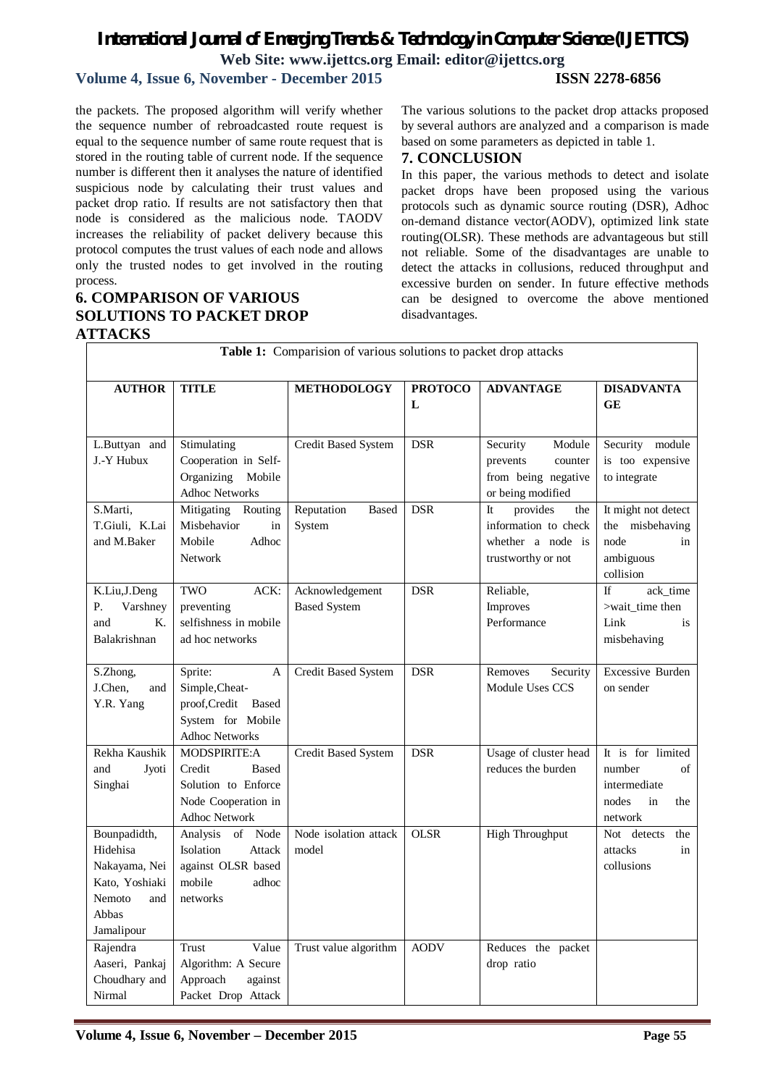## **Volume 4, Issue 6, November - December 2015 ISSN 2278-6856**

the packets. The proposed algorithm will verify whether the sequence number of rebroadcasted route request is equal to the sequence number of same route request that is stored in the routing table of current node. If the sequence number is different then it analyses the nature of identified suspicious node by calculating their trust values and packet drop ratio. If results are not satisfactory then that node is considered as the malicious node. TAODV increases the reliability of packet delivery because this protocol computes the trust values of each node and allows only the trusted nodes to get involved in the routing process.

#### **6. COMPARISON OF VARIOUS SOLUTIONS TO PACKET DROP ATTACKS**

The various solutions to the packet drop attacks proposed by several authors are analyzed and a comparison is made based on some parameters as depicted in table 1.

#### **7. CONCLUSION**

In this paper, the various methods to detect and isolate packet drops have been proposed using the various protocols such as dynamic source routing (DSR), Adhoc on-demand distance vector(AODV), optimized link state routing(OLSR). These methods are advantageous but still not reliable. Some of the disadvantages are unable to detect the attacks in collusions, reduced throughput and excessive burden on sender. In future effective methods can be designed to overcome the above mentioned disadvantages.

| <b>Table 1:</b> Comparision of various solutions to packet drop attacks                             |                                                                                                              |                                        |                     |                                                                                          |                                                                                    |  |  |  |
|-----------------------------------------------------------------------------------------------------|--------------------------------------------------------------------------------------------------------------|----------------------------------------|---------------------|------------------------------------------------------------------------------------------|------------------------------------------------------------------------------------|--|--|--|
| <b>AUTHOR</b>                                                                                       | <b>TITLE</b>                                                                                                 | <b>METHODOLOGY</b>                     | <b>PROTOCO</b><br>L | <b>ADVANTAGE</b>                                                                         | <b>DISADVANTA</b><br><b>GE</b>                                                     |  |  |  |
| L.Buttyan and<br>J.-Y Hubux                                                                         | Stimulating<br>Cooperation in Self-<br>Organizing<br>Mobile<br><b>Adhoc Networks</b>                         | Credit Based System                    | <b>DSR</b>          | Security<br>Module<br>prevents<br>counter<br>from being negative<br>or being modified    | Security module<br>is too expensive<br>to integrate                                |  |  |  |
| S.Marti,<br>T.Giuli, K.Lai<br>and M.Baker                                                           | Mitigating<br>Routing<br>Misbehavior<br>in<br>Adhoc<br>Mobile<br><b>Network</b>                              | Reputation<br><b>Based</b><br>System   | <b>DSR</b>          | It<br>provides<br>the<br>information to check<br>whether a node is<br>trustworthy or not | It might not detect<br>the misbehaving<br>node<br>in<br>ambiguous<br>collision     |  |  |  |
| K.Liu, J.Deng<br>Varshney<br>Р.<br>$\quad$ and<br>$\mathbf{K}_{\cdot}$<br>Balakrishnan              | TWO<br>ACK:<br>preventing<br>selfishness in mobile<br>ad hoc networks                                        | Acknowledgement<br><b>Based System</b> | <b>DSR</b>          | Reliable,<br>Improves<br>Performance                                                     | ack_time<br><b>If</b><br>>wait_time then<br>Link<br>is<br>misbehaving              |  |  |  |
| S.Zhong,<br>J.Chen,<br>and<br>Y.R. Yang                                                             | Sprite:<br>A<br>Simple, Cheat-<br>proof, Credit<br>Based<br>System for Mobile<br><b>Adhoc Networks</b>       | Credit Based System                    | <b>DSR</b>          | Removes<br>Security<br>Module Uses CCS                                                   | <b>Excessive Burden</b><br>on sender                                               |  |  |  |
| Rekha Kaushik<br>and<br>Jyoti<br>Singhai                                                            | MODSPIRITE:A<br>Credit<br><b>Based</b><br>Solution to Enforce<br>Node Cooperation in<br><b>Adhoc Network</b> | Credit Based System                    | <b>DSR</b>          | Usage of cluster head<br>reduces the burden                                              | It is for limited<br>of<br>number<br>intermediate<br>nodes<br>in<br>the<br>network |  |  |  |
| Bounpadidth,<br>Hidehisa<br>Nakayama, Nei<br>Kato, Yoshiaki<br>Nemoto<br>and<br>Abbas<br>Jamalipour | Analysis<br>Node<br>of<br>Isolation<br>Attack<br>against OLSR based<br>mobile<br>adhoc<br>networks           | Node isolation attack<br>model         | <b>OLSR</b>         | <b>High Throughput</b>                                                                   | Not detects<br>the<br>attacks<br>in<br>collusions                                  |  |  |  |
| Rajendra<br>Aaseri, Pankaj<br>Choudhary and<br>Nirmal                                               | Value<br>Trust<br>Algorithm: A Secure<br>Approach<br>against<br>Packet Drop Attack                           | Trust value algorithm                  | <b>AODV</b>         | Reduces the packet<br>drop ratio                                                         |                                                                                    |  |  |  |

#### **Table 1:** Comparision of various solutions to packet drop attacks